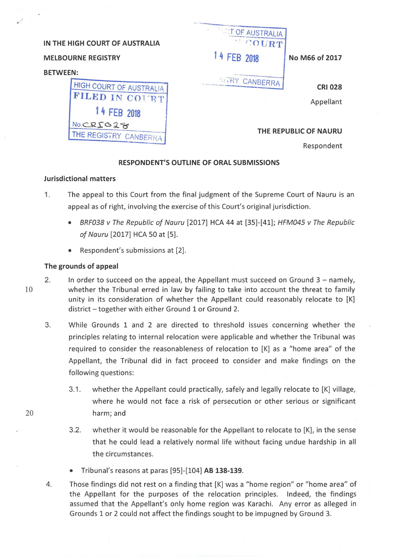| IN THE HIGH COURT OF AUSTRALIA |  |  |  |  |  |  |
|--------------------------------|--|--|--|--|--|--|
|--------------------------------|--|--|--|--|--|--|

## **MELBOURNE REGISTRY**

### **BETWEEN:**



 $'$ OURT $'$ **1 4 FEB 2018 No M66 of 2017** 

 $\cdot$  :  $\cdot$  it of austral

 $\begin{array}{c}\n 1.11 \\
2.11 \\
3.11 \\
4.10\n \end{array}$ 

··· ·---------~ ........... :~\_::. r{Y CANBERRA

**CRI028** 

Appellant

## **THE REPUBLIC OF NAURU**

Respondent

# **RESPONDENT'S OUTLINE OF ORAL SUBMISSIONS**

#### **Jurisdictional matters**

- 1. The appeal to this Court from the final judgment of the Supreme Court of Nauru is an appeal as of right, involving the exercise of this Court's original jurisdiction.
	- BRF038 v The Republic of Nauru [2017] HCA 44 at [35]-[41]; HFM045 v The Republic of Nauru [2017] HCA 50 at [5].
	- Respondent's submissions at [2].

## **The grounds of appeal**

- 2. In order to succeed on the appeal, the Appellant must succeed on Ground 3 namely, whether the Tribunal erred in law by failing to take into account the threat to family unity in its consideration of whether the Appellant could reasonably relocate to [K] district - together with either Ground 1 or Ground 2.
	- 3. While Grounds 1 and 2 are directed to threshold issues concerning whether the principles relating to internal relocation were applicable and whether the Tribunal was required to consider the reasonableness of relocation to [K] as a "home area" of the Appellant, the Tribunal did in fact proceed to consider and make findings on the following questions:
- 3.1. whether the Appellant could practically, safely and legally relocate to [K] village, where he would not face a risk of persecution or other serious or significant 20 harm; and
	- 3.2. whether it would be reasonable for the Appellant to relocate to [K], in the sense that he could lead a relatively normal life without facing undue hardship in all the circumstances.
	- Tribunal's reasons at paras [95]-[104] **AB 138-139.**
	- 4. Those findings did not rest on a finding that [K] was a "home region" or "home area" of the Appellant for the purposes of the relocation principles. Indeed, the findings assumed that the Appellant's only home region was Karachi. Any error as alleged in Grounds 1 or 2 could not affect the findings sought to be impugned by Ground 3.

10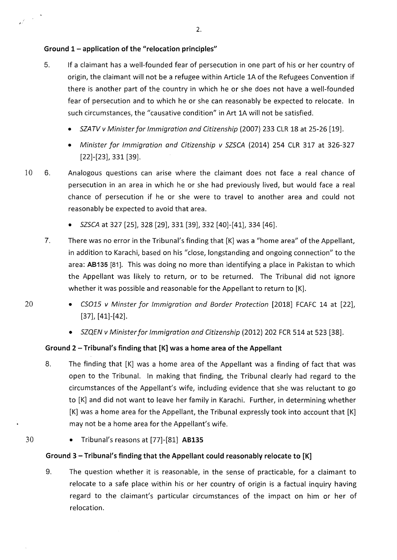# **Ground 1- application of the "relocation principles"**

- 5. If a claimant has a well-founded fear of persecution in one part of his or her country of origin, the claimant will not be a refugee within Article lA of the Refugees Convention if there is another part of the country in which he or she does not have a well-founded fear of persecution and to which he or she can reasonably be expected to relocate. In such circumstances, the "causative condition" in Art lA will not be satisfied.
	- SZATV v Minister for Immigration and Citizenship (2007} 233 CLR 18 at 25-26 [19].
	- Minister for Immigration and Citizenship v SZSCA (2014} 254 CLR 317 at 326-327  $[22]$ - $[23]$ , 331  $[39]$ .
- 10 6. Analogous questions can arise where the claimant does not face a real chance of persecution in an area in which he or she had previously lived, but would face a real chance of persecution if he or she were to travel to another area and could not reasonably be expected to avoid that area.
	- SZSCA at 327 [25], 328 [29], 331 [39], 332 [40]-[41], 334 [46].
	- 7. There was no error in the Tribunal's finding that [K] was a "home area" of the Appellant, in addition to Karachi, based on his *"close,* longstanding and ongoing connection" to the area: **AB135** [81]. This was doing no more than identifying a place in Pakistan to which the Appellant was likely to return, or to be returned. The Tribunal did not ignore whether it was possible and reasonable for the Appellant to return to [K].
- 20

 $\mathcal{A}^{\left( \frac{1}{2}\right) }$ 

- $CSO15$  v Minster for Immigration and Border Protection [2018] FCAFC 14 at [22],  $[37]$ ,  $[41]$ - $[42]$ .
- SZQEN v Minister for Immigration and Citizenship (2012} 202 FCR 514 at 523 [38].

# **Ground 2- Tribunal's finding that [K] was a home area of the Appellant**

- 8. The finding that [K] was a home area of the Appellant was a finding of fact that was open to the Tribunal. In making that finding, the Tribunal clearly had regard to the circumstances of the Appellant's wife, including evidence that she was reluctant to go to [K] and did not want to leave her family in Karachi. Further, in determining whether [K] was a home area for the Appellant, the Tribunal expressly took into account that [K] may not be a home area for the Appellant's wife.
- 30 • Tribunal's reasons at [77]-[81] **AB135**

# **Ground 3- Tribunal's finding that the Appellant could reasonably relocate to [K]**

9. The question whether it is reasonable, in the sense of practicable, for a claimant to relocate to a safe place within his or her country of origin is a factual inquiry having regard to the claimant's particular circumstances of the impact on him or her of relocation.

2.